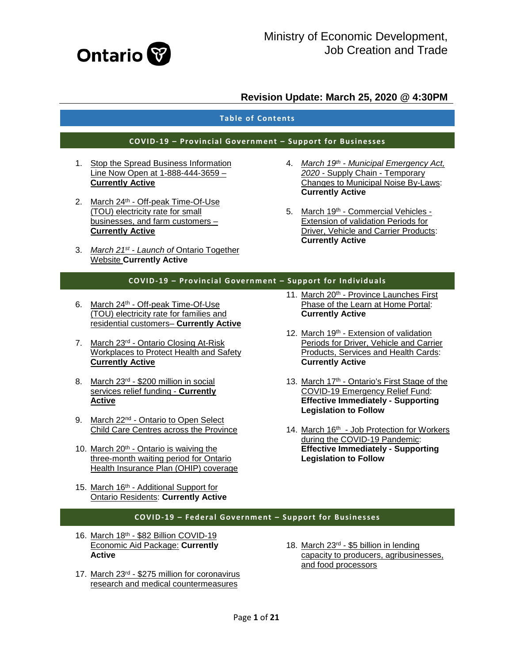

#### **Table of Contents**

#### **COVID-19 – Provincial Government – Support for Businesses**

- 1. [Stop the Spread Business Information](#page-2-0)  [Line Now Open at 1-888-444-3659 –](#page-2-0) **[Currently Active](#page-2-0)**
- 2. March 24<sup>th</sup> Off-peak Time-Of-Use [\(TOU\) electricity rate for small](#page-2-0)  [businesses, and farm customers –](#page-2-0) **[Currently Active](#page-2-0)**
- 3. *March 21st - Launch of* [Ontario Together](#page-2-1)  Website **[Currently Active](#page-2-1)**
- 4. *March 19th - [Municipal Emergency Act,](#page-3-0)  2020* - Supply Chain - [Temporary](#page-3-0)  [Changes to Municipal Noise By-Laws:](#page-3-0)  **[Currently Active](#page-3-0)**
- 5. March 19th [Commercial Vehicles -](#page-3-1) [Extension of validation Periods for](#page-3-1)  [Driver, Vehicle and Carrier Products:](#page-3-1)  **[Currently Active](#page-3-1)**

#### **COVID-19 – Provincial Government – Support for Individuals**

- 6. March 24th Off-peak Time-Of-Use [\(TOU\) electricity rate for families and](#page-3-2)  [residential customers–](#page-3-2) **Currently Active**
- 7. March 23rd [Ontario Closing At-Risk](#page-4-0)  [Workplaces to Protect Health and Safety](#page-4-0)  **[Currently Active](#page-4-0)**
- 8. March 23<sup>rd</sup> \$200 million in social [services relief funding -](#page-4-1) **Currently [Active](#page-4-1)**
- 9. March 22<sup>nd</sup> Ontario to Open Select [Child Care Centres across the Province](#page-5-0)
- 10. March 20<sup>th</sup> Ontario is waiving the [three-month waiting period for Ontario](#page-5-1)  [Health Insurance Plan \(OHIP\) coverage](#page-5-1)
- 15. March 16th Additional Support for [Ontario Residents:](#page-7-1) **Currently Active**
- 11. March 20<sup>th</sup> Province Launches First [Phase of the Learn at Home Portal:](#page-5-2)  **[Currently Active](#page-5-2)**
- 12. March 19<sup>th</sup> Extension of validation [Periods for Driver, Vehicle and Carrier](#page-5-3)  [Products, Services and Health Cards:](#page-5-3)  **[Currently Active](#page-5-3)**
- 13. March 17<sup>th</sup> Ontario's First Stage of the [COVID-19 Emergency Relief Fund:](#page-6-0)  **[Effective Immediately -](#page-6-0) Supporting [Legislation to Follow](#page-6-0)**
- 14. March 16th Job Protection for Workers [during the COVID-19 Pandemic:](#page-7-0)  **[Effective Immediately -](#page-7-0) Supporting [Legislation to Follow](#page-7-0)**

#### **COVID-19 – Federal Government – Support for Businesses**

- 16. March 18th [\\$82 Billion COVID-19](#page-8-0)  [Economic Aid Package:](#page-8-0) **Currently [Active](#page-8-0)**
- 17. March 23rd \$275 [million for coronavirus](#page-8-1)  [research and medical countermeasures](#page-8-1)
- 18. March 23rd [\\$5 billion in lending](#page-8-2)  [capacity to producers, agribusinesses,](#page-8-2)  [and food processors](#page-8-2)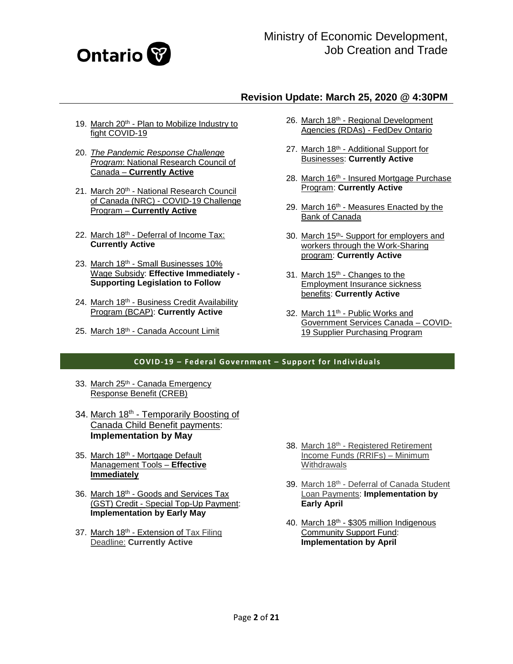

- 19. March 20<sup>th</sup> Plan to Mobilize Industry to [fight COVID-19](#page-9-0)
- 20. *[The Pandemic Response Challenge](#page-9-1)  Program*[: National Research Council of](#page-9-1)  Canada – **[Currently Active](#page-9-1)**
- 21. March 20<sup>th</sup> National Research Council of Canada (NRC) - [COVID-19 Challenge](#page-10-0)  Program – **[Currently Active](#page-10-0)**
- 22. March 18th [Deferral of Income Tax:](#page-10-1) **[Currently Active](#page-10-1)**
- 23. March 18th Small Businesses 10% [Wage Subsidy:](#page-11-0) **Effective Immediately - [Supporting Legislation to Follow](#page-11-0)**
- 24. March 18<sup>th</sup> Business Credit Availability [Program \(BCAP\):](#page-11-1) **Currently Active**
- 25. March 18<sup>th</sup> [Canada Account Limit](#page-12-0)
- 26. March 18th Regional Development [Agencies \(RDAs\) -](#page-12-1) FedDev Ontario
- 27. March 18th Additional Support for Businesses: **[Currently Active](#page-13-0)**
- 28. March 16th Insured Mortgage Purchase Program: **[Currently Active](#page-13-1)**
- 29. March 16th Measures Enacted by the [Bank of Canada](#page-13-2)
- 30. March 15th- [Support for employers and](#page-14-0)  [workers through the Work-Sharing](#page-14-0)  program: **[Currently Active](#page-14-0)**
- 31. March 15<sup>th</sup> Changes to the [Employment Insurance sickness](#page-14-1)  benefits: **[Currently Active](#page-14-1)**
- 32. March 11<sup>th</sup> Public Works and [Government Services Canada –](#page-15-0) COVID-[19 Supplier Purchasing Program](#page-15-0)

#### **COVID-19 – Federal Government – Support for Individuals**

- 33. March 25th Canada Emergency [Response Benefit \(CREB\)](#page-16-0)
- 34. March 18<sup>th</sup> Temporarily Boosting of [Canada Child Benefit payments:](#page-16-1)  **[Implementation by May](#page-16-1)**
- 35. March 18th [Mortgage Default](#page-17-0)  [Management Tools –](#page-17-0) **Effective [Immediately](#page-17-0)**
- 36. March 18th Goods and Services Tax (GST) Credit - [Special Top-Up Payment:](#page-17-1)  **[Implementation by Early May](#page-17-1)**
- 37. March 18<sup>th</sup> Extension of Tax Filing Deadline: **[Currently Active](#page-17-2)**
- 38. March 18th Registered Retirement [Income Funds \(RRIFs\) –](#page-17-3) Minimum **[Withdrawals](#page-17-3)**
- 39. March 18th Deferral of Canada Student Loan Payments: **[Implementation by](#page-17-4)  [Early April](#page-17-4)**
- 40. March 18th \$305 million Indigenous [Community Support Fund:](#page-18-0)  **[Implementation by April](#page-18-0)**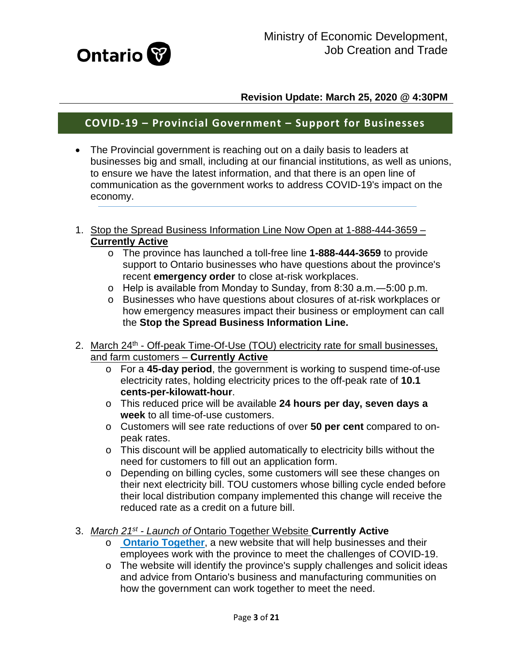

# **COVID-19 – Provincial Government – Support for Businesses**

- The Provincial government is reaching out on a daily basis to leaders at businesses big and small, including at our financial institutions, as well as unions, to ensure we have the latest information, and that there is an open line of communication as the government works to address COVID-19's impact on the economy.
- <span id="page-2-0"></span>1. Stop the Spread Business Information Line Now Open at 1-888-444-3659 – **Currently Active**
	- o The province has launched a toll-free line **1-888-444-3659** to provide support to Ontario businesses who have questions about the province's recent **emergency order** to close at-risk workplaces.
	- o Help is available from Monday to Sunday, from 8:30 a.m.―5:00 p.m.
	- o Businesses who have questions about closures of at-risk workplaces or how emergency measures impact their business or employment can call the **Stop the Spread Business Information Line.**
- 2. March 24<sup>th</sup> Off-peak Time-Of-Use (TOU) electricity rate for small businesses, and farm customers – **Currently Active**
	- o For a **45-day period**, the government is working to suspend time-of-use electricity rates, holding electricity prices to the off-peak rate of **10.1 cents-per-kilowatt-hour**.
	- o This reduced price will be available **24 hours per day, seven days a week** to all time-of-use customers.
	- o Customers will see rate reductions of over **50 per cent** compared to onpeak rates.
	- o This discount will be applied automatically to electricity bills without the need for customers to fill out an application form.
	- o Depending on billing cycles, some customers will see these changes on their next electricity bill. TOU customers whose billing cycle ended before their local distribution company implemented this change will receive the reduced rate as a credit on a future bill.
- <span id="page-2-1"></span>3. *March 21st - Launch of* Ontario Together Website **Currently Active**
	- o **[Ontario Together](http://ontario.ca/ontariotogether?_ga=2.117268422.1996799419.1584986608-1305037528.1580157468)**, a new website that will help businesses and their employees work with the province to meet the challenges of COVID-19.
	- o The website will identify the province's supply challenges and solicit ideas and advice from Ontario's business and manufacturing communities on how the government can work together to meet the need.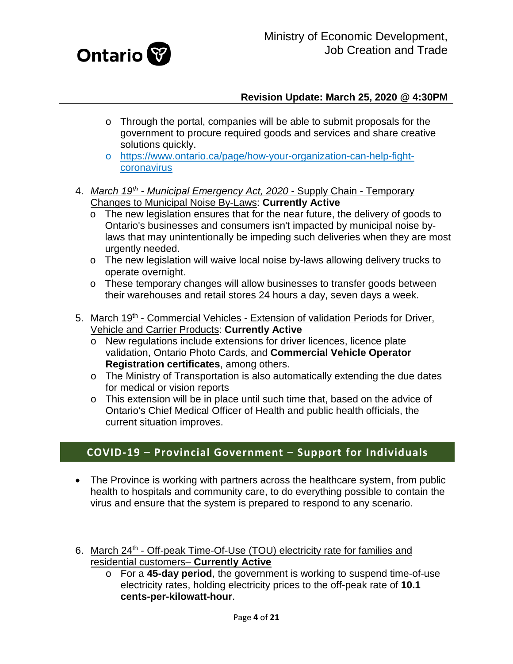

- o Through the portal, companies will be able to submit proposals for the government to procure required goods and services and share creative solutions quickly.
- o [https://www.ontario.ca/page/how-your-organization-can-help-fight](https://www.ontario.ca/page/how-your-organization-can-help-fight-coronavirus)[coronavirus](https://www.ontario.ca/page/how-your-organization-can-help-fight-coronavirus)
- <span id="page-3-0"></span>4. *March 19th - Municipal Emergency Act, 2020* - Supply Chain - Temporary Changes to Municipal Noise By-Laws: **Currently Active** 
	- o The new legislation ensures that for the near future, the delivery of goods to Ontario's businesses and consumers isn't impacted by municipal noise bylaws that may unintentionally be impeding such deliveries when they are most urgently needed.
	- o The new legislation will waive local noise by-laws allowing delivery trucks to operate overnight.
	- o These temporary changes will allow businesses to transfer goods between their warehouses and retail stores 24 hours a day, seven days a week.
- <span id="page-3-1"></span>5. March 19<sup>th</sup> - Commercial Vehicles - Extension of validation Periods for Driver, Vehicle and Carrier Products: **Currently Active**
	- o New regulations include extensions for driver licences, licence plate validation, Ontario Photo Cards, and **Commercial Vehicle Operator Registration certificates**, among others.
	- o The Ministry of Transportation is also automatically extending the due dates for medical or vision reports
	- o This extension will be in place until such time that, based on the advice of Ontario's Chief Medical Officer of Health and public health officials, the current situation improves.

# **COVID-19 – Provincial Government – Support for Individuals**

- The Province is working with partners across the healthcare system, from public health to hospitals and community care, to do everything possible to contain the virus and ensure that the system is prepared to respond to any scenario.
- <span id="page-3-2"></span>6. March 24<sup>th</sup> - Off-peak Time-Of-Use (TOU) electricity rate for families and residential customers– **Currently Active**
	- o For a **45-day period**, the government is working to suspend time-of-use electricity rates, holding electricity prices to the off-peak rate of **10.1 cents-per-kilowatt-hour**.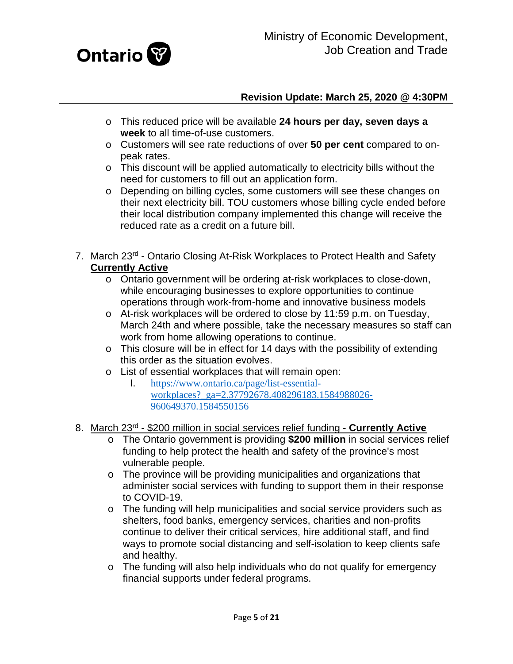

- o This reduced price will be available **24 hours per day, seven days a week** to all time-of-use customers.
- o Customers will see rate reductions of over **50 per cent** compared to onpeak rates.
- o This discount will be applied automatically to electricity bills without the need for customers to fill out an application form.
- o Depending on billing cycles, some customers will see these changes on their next electricity bill. TOU customers whose billing cycle ended before their local distribution company implemented this change will receive the reduced rate as a credit on a future bill.

## <span id="page-4-0"></span>7. March 23rd - Ontario Closing At-Risk Workplaces to Protect Health and Safety **Currently Active**

- o Ontario government will be ordering at-risk workplaces to close-down, while encouraging businesses to explore opportunities to continue operations through work-from-home and innovative business models
- o At-risk workplaces will be ordered to close by 11:59 p.m. on Tuesday, March 24th and where possible, take the necessary measures so staff can work from home allowing operations to continue.
- o This closure will be in effect for 14 days with the possibility of extending this order as the situation evolves.
- o List of essential workplaces that will remain open:<br>1. https://www.ontario.ca/page/list-essential-
	- I. [https://www.ontario.ca/page/list-essential](https://www.ontario.ca/page/list-essential-workplaces?_ga=2.37792678.408296183.1584988026-960649370.1584550156)workplaces? ga=2.37792678.408296183.1584988026-[960649370.1584550156](https://www.ontario.ca/page/list-essential-workplaces?_ga=2.37792678.408296183.1584988026-960649370.1584550156)
- <span id="page-4-1"></span>8. March 23rd - \$200 million in social services relief funding - **Currently Active**
	- o The Ontario government is providing **\$200 million** in social services relief funding to help protect the health and safety of the province's most vulnerable people.
	- o The province will be providing municipalities and organizations that administer social services with funding to support them in their response to COVID-19.
	- o The funding will help municipalities and social service providers such as shelters, food banks, emergency services, charities and non-profits continue to deliver their critical services, hire additional staff, and find ways to promote social distancing and self-isolation to keep clients safe and healthy.
	- o The funding will also help individuals who do not qualify for emergency financial supports under federal programs.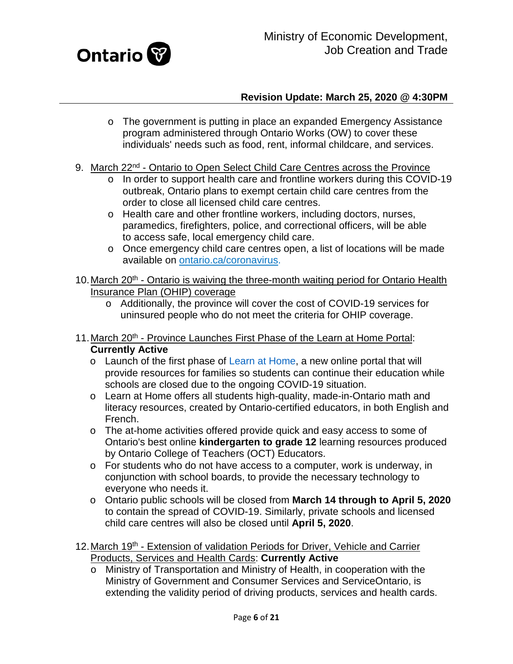

- o The government is putting in place an expanded Emergency Assistance program administered through Ontario Works (OW) to cover these individuals' needs such as food, rent, informal childcare, and services.
- <span id="page-5-0"></span>9. March 22<sup>nd</sup> - Ontario to Open Select Child Care Centres across the Province
	- o In order to support health care and frontline workers during this COVID-19 outbreak, Ontario plans to exempt certain child care centres from the order to close all licensed child care centres.
	- o Health care and other frontline workers, including doctors, nurses, paramedics, firefighters, police, and correctional officers, will be able to access safe, local emergency child care.
	- o Once emergency child care centres open, a list of locations will be made available on [ontario.ca/coronavirus.](http://www.ontario.ca/coronavirus?_ga=2.91567450.1996799419.1584986608-1305037528.1580157468)
- <span id="page-5-1"></span>10. March 20<sup>th</sup> - Ontario is waiving the three-month waiting period for Ontario Health Insurance Plan (OHIP) coverage
	- o Additionally, the province will cover the cost of COVID-19 services for uninsured people who do not meet the criteria for OHIP coverage.
- <span id="page-5-2"></span>11. March 20<sup>th</sup> - Province Launches First Phase of the Learn at Home Portal: **Currently Active**
	- o Launch of the first phase of [Learn at Home,](https://www.ontario.ca/page/learn-at-home?_ga=2.104073862.780307966.1584385273-1305037528.1580157468) a new online portal that will provide resources for families so students can continue their education while schools are closed due to the ongoing COVID-19 situation.
	- o Learn at Home offers all students high-quality, made-in-Ontario math and literacy resources, created by Ontario-certified educators, in both English and French.
	- o The at-home activities offered provide quick and easy access to some of Ontario's best online **kindergarten to grade 12** learning resources produced by Ontario College of Teachers (OCT) Educators.
	- o For students who do not have access to a computer, work is underway, in conjunction with school boards, to provide the necessary technology to everyone who needs it.
	- o Ontario public schools will be closed from **March 14 through to April 5, 2020** to contain the spread of COVID-19. Similarly, private schools and licensed child care centres will also be closed until **April 5, 2020**.
- <span id="page-5-3"></span>12. March 19<sup>th</sup> - Extension of validation Periods for Driver, Vehicle and Carrier Products, Services and Health Cards: **Currently Active**
	- o Ministry of Transportation and Ministry of Health, in cooperation with the Ministry of Government and Consumer Services and ServiceOntario, is extending the validity period of driving products, services and health cards.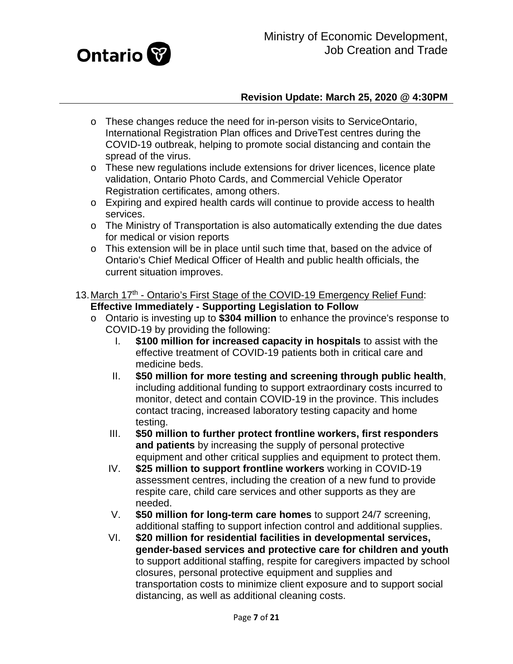

- o These changes reduce the need for in-person visits to ServiceOntario, International Registration Plan offices and DriveTest centres during the COVID-19 outbreak, helping to promote social distancing and contain the spread of the virus.
- o These new regulations include extensions for driver licences, licence plate validation, Ontario Photo Cards, and Commercial Vehicle Operator Registration certificates, among others.
- o Expiring and expired health cards will continue to provide access to health services.
- o The Ministry of Transportation is also automatically extending the due dates for medical or vision reports
- o This extension will be in place until such time that, based on the advice of Ontario's Chief Medical Officer of Health and public health officials, the current situation improves.
- <span id="page-6-0"></span>13. March 17<sup>th</sup> - Ontario's First Stage of the COVID-19 Emergency Relief Fund: **Effective Immediately - Supporting Legislation to Follow**
	- o Ontario is investing up to **\$304 million** to enhance the province's response to COVID-19 by providing the following:
		- I. **\$100 million for increased capacity in hospitals** to assist with the effective treatment of COVID-19 patients both in critical care and medicine beds.
		- II. **\$50 million for more testing and screening through public health**, including additional funding to support extraordinary costs incurred to monitor, detect and contain COVID-19 in the province. This includes contact tracing, increased laboratory testing capacity and home testing.
		- III. **\$50 million to further protect frontline workers, first responders and patients** by increasing the supply of personal protective equipment and other critical supplies and equipment to protect them.
		- IV. **\$25 million to support frontline workers** working in COVID-19 assessment centres, including the creation of a new fund to provide respite care, child care services and other supports as they are needed.
		- V. **\$50 million for long-term care homes** to support 24/7 screening, additional staffing to support infection control and additional supplies.
		- VI. **\$20 million for residential facilities in developmental services, gender-based services and protective care for children and youth** to support additional staffing, respite for caregivers impacted by school closures, personal protective equipment and supplies and transportation costs to minimize client exposure and to support social distancing, as well as additional cleaning costs.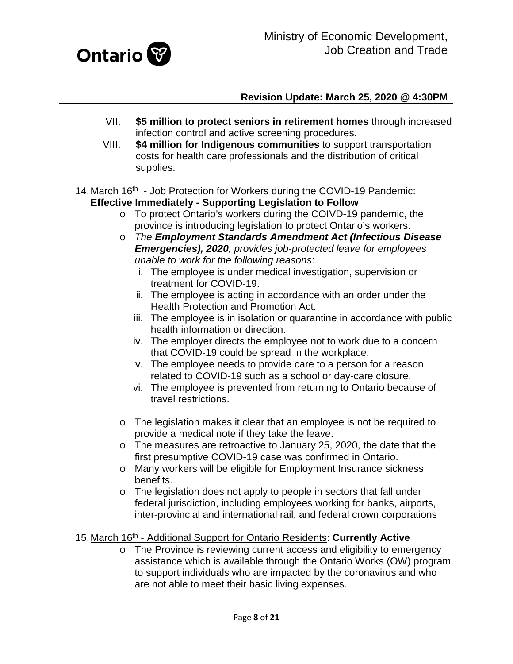

- VII. **\$5 million to protect seniors in retirement homes** through increased infection control and active screening procedures.
- VIII. **\$4 million for Indigenous communities** to support transportation costs for health care professionals and the distribution of critical supplies.
- <span id="page-7-0"></span>14. March 16<sup>th</sup> - Job Protection for Workers during the COVID-19 Pandemic: **Effective Immediately - Supporting Legislation to Follow**
	- o To protect Ontario's workers during the COIVD-19 pandemic, the province is introducing legislation to protect Ontario's workers.
	- o *The Employment Standards Amendment Act (Infectious Disease Emergencies), 2020, provides job-protected leave for employees unable to work for the following reasons*:
		- i. The employee is under medical investigation, supervision or treatment for COVID-19.
		- ii. The employee is acting in accordance with an order under the Health Protection and Promotion Act.
		- iii. The employee is in isolation or quarantine in accordance with public health information or direction.
		- iv. The employer directs the employee not to work due to a concern that COVID-19 could be spread in the workplace.
		- v. The employee needs to provide care to a person for a reason related to COVID-19 such as a school or day-care closure.
		- vi. The employee is prevented from returning to Ontario because of travel restrictions.
	- o The legislation makes it clear that an employee is not be required to provide a medical note if they take the leave.
	- o The measures are retroactive to January 25, 2020, the date that the first presumptive COVID-19 case was confirmed in Ontario.
	- o Many workers will be eligible for Employment Insurance sickness benefits.
	- o The legislation does not apply to people in sectors that fall under federal jurisdiction, including employees working for banks, airports, inter-provincial and international rail, and federal crown corporations
- <span id="page-7-1"></span>15.March 16th - Additional Support for Ontario Residents: **Currently Active**
	- o The Province is reviewing current access and eligibility to emergency assistance which is available through the Ontario Works (OW) program to support individuals who are impacted by the coronavirus and who are not able to meet their basic living expenses.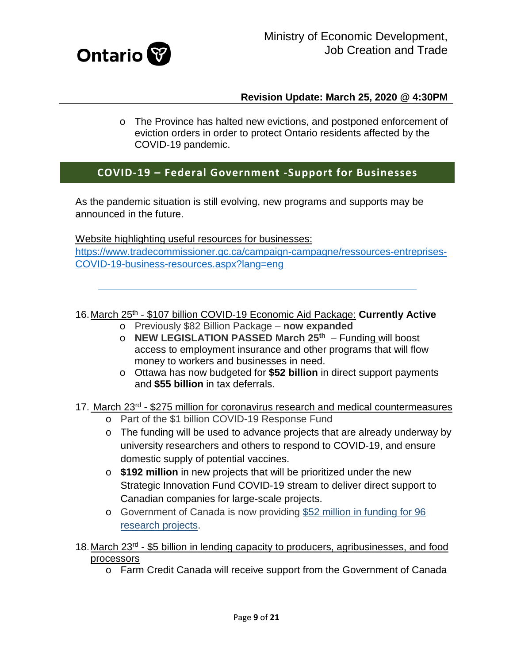

o The Province has halted new evictions, and postponed enforcement of eviction orders in order to protect Ontario residents affected by the COVID-19 pandemic.

# **COVID-19 – Federal Government -Support for Businesses**

As the pandemic situation is still evolving, new programs and supports may be announced in the future.

Website highlighting useful resources for businesses: [https://www.tradecommissioner.gc.ca/campaign-campagne/ressources-entreprises-](https://www.tradecommissioner.gc.ca/campaign-campagne/ressources-entreprises-COVID-19-business-resources.aspx?lang=eng)[COVID-19-business-resources.aspx?lang=eng](https://www.tradecommissioner.gc.ca/campaign-campagne/ressources-entreprises-COVID-19-business-resources.aspx?lang=eng)

<span id="page-8-0"></span>16.March 25th - \$107 billion COVID-19 Economic Aid Package: **Currently Active**

- o Previously \$82 Billion Package **now expanded**
- o **NEW LEGISLATION PASSED March 25th** Funding will boost access to employment insurance and other programs that will flow money to workers and businesses in need.
- o Ottawa has now budgeted for **\$52 billion** in direct support payments and **\$55 billion** in tax deferrals.

## <span id="page-8-1"></span>17. March 23<sup>rd</sup> - \$275 million for coronavirus research and medical countermeasures

- o Part of the \$1 billion COVID-19 Response Fund
- o The funding will be used to advance projects that are already underway by university researchers and others to respond to COVID-19, and ensure domestic supply of potential vaccines.
- o **\$192 million** in new projects that will be prioritized under the new Strategic Innovation Fund COVID-19 stream to deliver direct support to Canadian companies for large-scale projects.
- o Government of Canada is now providing [\\$52 million in funding for 96](https://www.canada.ca/en/institutes-health-research/news/2020/03/government-of-canada-funds-49-additional-covid-19-research-projects.html)  [research projects.](https://www.canada.ca/en/institutes-health-research/news/2020/03/government-of-canada-funds-49-additional-covid-19-research-projects.html)
- <span id="page-8-2"></span>18.March 23rd - \$5 billion in lending capacity to producers, agribusinesses, and food processors
	- o Farm Credit Canada will receive support from the Government of Canada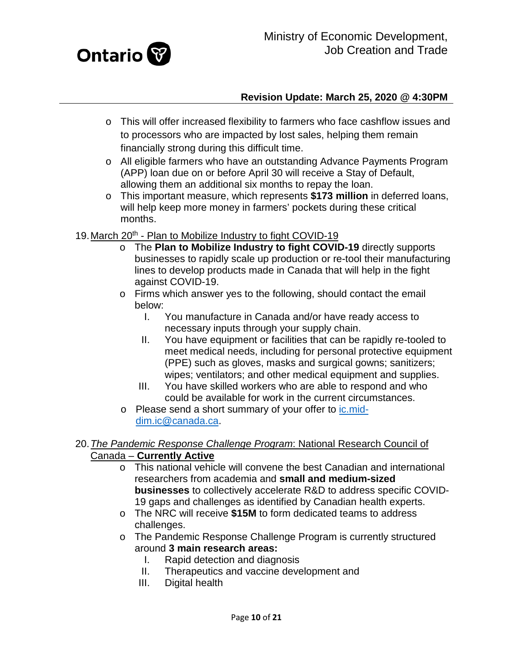

- o This will offer increased flexibility to farmers who face cashflow issues and to processors who are impacted by lost sales, helping them remain financially strong during this difficult time.
- o All eligible farmers who have an outstanding Advance Payments Program (APP) loan due on or before April 30 will receive a Stay of Default, allowing them an additional six months to repay the loan.
- o This important measure, which represents **\$173 million** in deferred loans, will help keep more money in farmers' pockets during these critical months.
- <span id="page-9-0"></span>19. March 20<sup>th</sup> - Plan to Mobilize Industry to fight COVID-19
	- o The **Plan to Mobilize Industry to fight COVID-19** directly supports businesses to rapidly scale up production or re-tool their manufacturing lines to develop products made in Canada that will help in the fight against COVID-19.
	- o Firms which answer yes to the following, should contact the email below:
		- I. You manufacture in Canada and/or have ready access to necessary inputs through your supply chain.
		- II. You have equipment or facilities that can be rapidly re-tooled to meet medical needs, including for personal protective equipment (PPE) such as gloves, masks and surgical gowns; sanitizers; wipes; ventilators; and other medical equipment and supplies.
		- III. You have skilled workers who are able to respond and who could be available for work in the current circumstances.
	- o Please send a short summary of your offer to [ic.mid](mailto:ic.mid-dim.ic@canada.ca)[dim.ic@canada.ca.](mailto:ic.mid-dim.ic@canada.ca)

#### <span id="page-9-1"></span>20.*The Pandemic Response Challenge Program*: National Research Council of Canada – **Currently Active**

- o This national vehicle will convene the best Canadian and international researchers from academia and **small and medium-sized businesses** to collectively accelerate R&D to address specific COVID-19 gaps and challenges as identified by Canadian health experts.
- o The NRC will receive **\$15M** to form dedicated teams to address challenges.
- o The Pandemic Response Challenge Program is currently structured around **3 main research areas:**
	- I. Rapid detection and diagnosis
	- II. Therapeutics and vaccine development and
	- III. Digital health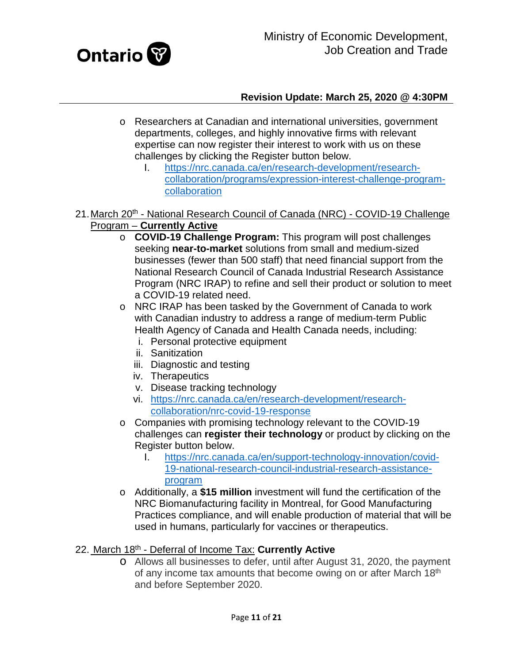

- o Researchers at Canadian and international universities, government departments, colleges, and highly innovative firms with relevant expertise can now register their interest to work with us on these challenges by clicking the Register button below.
	- I. [https://nrc.canada.ca/en/research-development/research](https://nrc.canada.ca/en/research-development/research-collaboration/programs/expression-interest-challenge-program-collaboration)[collaboration/programs/expression-interest-challenge-program](https://nrc.canada.ca/en/research-development/research-collaboration/programs/expression-interest-challenge-program-collaboration)[collaboration](https://nrc.canada.ca/en/research-development/research-collaboration/programs/expression-interest-challenge-program-collaboration)
- <span id="page-10-0"></span>21. March 20<sup>th</sup> - National Research Council of Canada (NRC) - COVID-19 Challenge Program – **Currently Active**
	- o **COVID-19 Challenge Program:** This program will post challenges seeking **near-to-market** solutions from small and medium-sized businesses (fewer than 500 staff) that need financial support from the National Research Council of Canada Industrial Research Assistance Program (NRC IRAP) to refine and sell their product or solution to meet a COVID-19 related need.
	- o NRC IRAP has been tasked by the Government of Canada to work with Canadian industry to address a range of medium-term Public Health Agency of Canada and Health Canada needs, including:
		- i. Personal protective equipment
		- ii. Sanitization
		- iii. Diagnostic and testing
		- iv. Therapeutics
		- v. Disease tracking technology
		- vi. [https://nrc.canada.ca/en/research-development/research](https://nrc.canada.ca/en/research-development/research-collaboration/nrc-covid-19-response)[collaboration/nrc-covid-19-response](https://nrc.canada.ca/en/research-development/research-collaboration/nrc-covid-19-response)
	- o Companies with promising technology relevant to the COVID-19 challenges can **register their technology** or product by clicking on the Register button below.
		- I. [https://nrc.canada.ca/en/support-technology-innovation/covid-](https://nrc.canada.ca/en/support-technology-innovation/covid-19-national-research-council-industrial-research-assistance-program)[19-national-research-council-industrial-research-assistance](https://nrc.canada.ca/en/support-technology-innovation/covid-19-national-research-council-industrial-research-assistance-program)[program](https://nrc.canada.ca/en/support-technology-innovation/covid-19-national-research-council-industrial-research-assistance-program)
	- o Additionally, a **\$15 million** investment will fund the certification of the NRC Biomanufacturing facility in Montreal, for Good Manufacturing Practices compliance, and will enable production of material that will be used in humans, particularly for vaccines or therapeutics.

## <span id="page-10-1"></span>22. March 18th - Deferral of Income Tax: **Currently Active**

o Allows all businesses to defer, until after August 31, 2020, the payment of any income tax amounts that become owing on or after March 18th and before September 2020.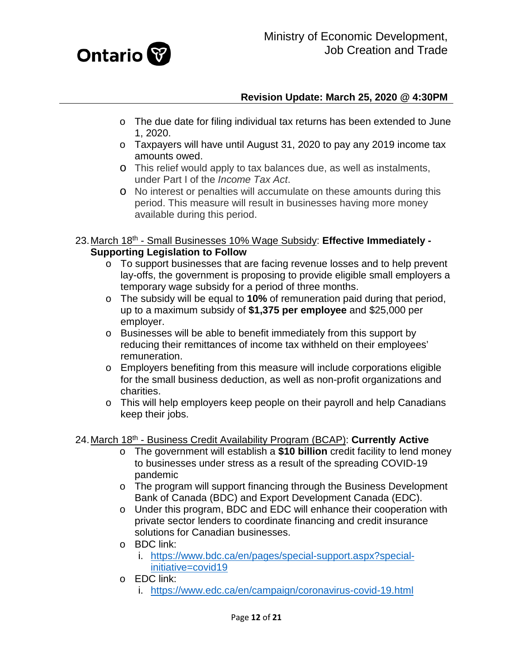

- o The due date for filing individual tax returns has been extended to June 1, 2020.
- o Taxpayers will have until August 31, 2020 to pay any 2019 income tax amounts owed.
- o This relief would apply to tax balances due, as well as instalments, under Part I of the *Income Tax Act*.
- o No interest or penalties will accumulate on these amounts during this period. This measure will result in businesses having more money available during this period.
- <span id="page-11-0"></span>23.March 18th - Small Businesses 10% Wage Subsidy: **Effective Immediately - Supporting Legislation to Follow**
	- o To support businesses that are facing revenue losses and to help prevent lay-offs, the government is proposing to provide eligible small employers a temporary wage subsidy for a period of three months.
	- o The subsidy will be equal to **10%** of remuneration paid during that period, up to a maximum subsidy of **\$1,375 per employee** and \$25,000 per employer.
	- o Businesses will be able to benefit immediately from this support by reducing their remittances of income tax withheld on their employees' remuneration.
	- o Employers benefiting from this measure will include corporations eligible for the small business deduction, as well as non-profit organizations and charities.
	- o This will help employers keep people on their payroll and help Canadians keep their jobs.

## <span id="page-11-1"></span>24.March 18th - Business Credit Availability Program (BCAP): **Currently Active**

- o The government will establish a **\$10 billion** credit facility to lend money to businesses under stress as a result of the spreading COVID-19 pandemic
- o The program will support financing through the Business Development Bank of Canada (BDC) and Export Development Canada (EDC).
- o Under this program, BDC and EDC will enhance their cooperation with private sector lenders to coordinate financing and credit insurance solutions for Canadian businesses.
- o BDC link:
	- i. [https://www.bdc.ca/en/pages/special-support.aspx?special](https://www.bdc.ca/en/pages/special-support.aspx?special-initiative=covid19)[initiative=covid19](https://www.bdc.ca/en/pages/special-support.aspx?special-initiative=covid19)
- o EDC link:
	- i. <https://www.edc.ca/en/campaign/coronavirus-covid-19.html>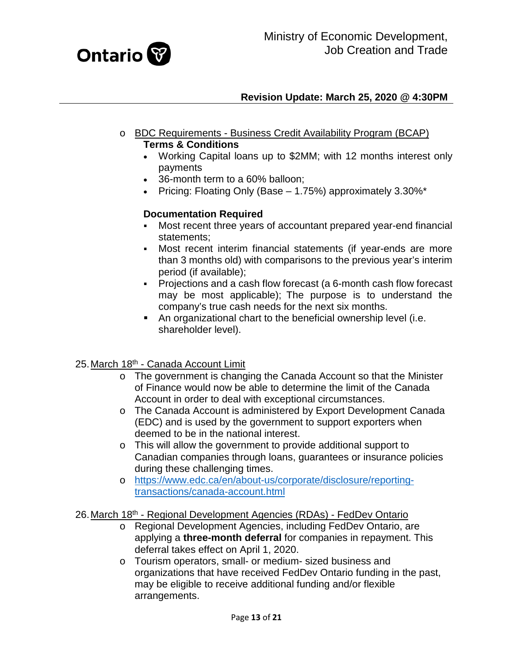

- o BDC Requirements Business Credit Availability Program (BCAP) **Terms & Conditions** 
	- Working Capital loans up to \$2MM; with 12 months interest only payments
	- 36-month term to a 60% balloon;
	- Pricing: Floating Only (Base  $-$  1.75%) approximately 3.30%\*

## **Documentation Required**

- Most recent three years of accountant prepared year-end financial statements;
- Most recent interim financial statements (if year-ends are more than 3 months old) with comparisons to the previous year's interim period (if available);
- Projections and a cash flow forecast (a 6-month cash flow forecast may be most applicable); The purpose is to understand the company's true cash needs for the next six months.
- An organizational chart to the beneficial ownership level (i.e. shareholder level).

#### <span id="page-12-0"></span>25. March 18<sup>th</sup> - Canada Account Limit

- o The government is changing the Canada Account so that the Minister of Finance would now be able to determine the limit of the Canada Account in order to deal with exceptional circumstances.
- o The Canada Account is administered by Export Development Canada (EDC) and is used by the government to support exporters when deemed to be in the national interest.
- o This will allow the government to provide additional support to Canadian companies through loans, guarantees or insurance policies during these challenging times.
- o [https://www.edc.ca/en/about-us/corporate/disclosure/reporting](https://www.edc.ca/en/about-us/corporate/disclosure/reporting-transactions/canada-account.html)[transactions/canada-account.html](https://www.edc.ca/en/about-us/corporate/disclosure/reporting-transactions/canada-account.html)

#### <span id="page-12-1"></span>26.March 18th - Regional Development Agencies (RDAs) - FedDev Ontario

- o Regional Development Agencies, including FedDev Ontario, are applying a **three-month deferral** for companies in repayment. This deferral takes effect on April 1, 2020.
- o Tourism operators, small- or medium- sized business and organizations that have received FedDev Ontario funding in the past, may be eligible to receive additional funding and/or flexible arrangements.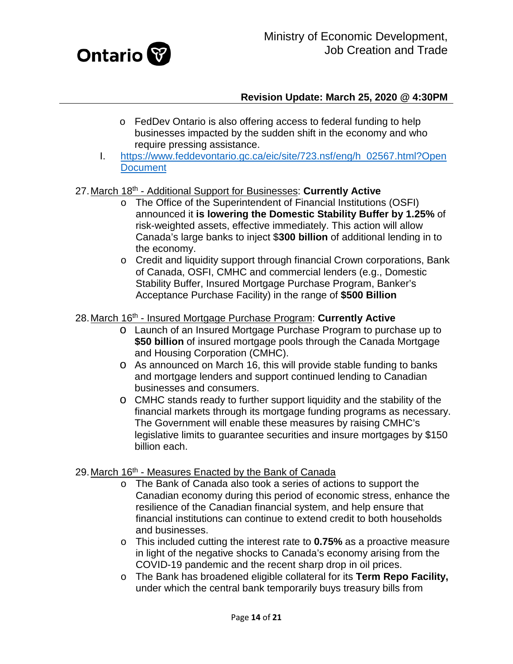

- o FedDev Ontario is also offering access to federal funding to help businesses impacted by the sudden shift in the economy and who require pressing assistance.
- I. [https://www.feddevontario.gc.ca/eic/site/723.nsf/eng/h\\_02567.html?Open](https://www.feddevontario.gc.ca/eic/site/723.nsf/eng/h_02567.html?OpenDocument) **[Document](https://www.feddevontario.gc.ca/eic/site/723.nsf/eng/h_02567.html?OpenDocument)**

## <span id="page-13-0"></span>27.March 18th - Additional Support for Businesses: **Currently Active**

- o The Office of the Superintendent of Financial Institutions (OSFI) announced it **is lowering the Domestic Stability Buffer by 1.25%** of risk-weighted assets, effective immediately. This action will allow Canada's large banks to inject \$**300 billion** of additional lending in to the economy.
- o Credit and liquidity support through financial Crown corporations, Bank of Canada, OSFI, CMHC and commercial lenders (e.g., Domestic Stability Buffer, Insured Mortgage Purchase Program, Banker's Acceptance Purchase Facility) in the range of **\$500 Billion**

#### <span id="page-13-1"></span>28.March 16th - Insured Mortgage Purchase Program: **Currently Active**

- o Launch of an Insured Mortgage Purchase Program to purchase up to **\$50 billion** of insured mortgage pools through the Canada Mortgage and Housing Corporation (CMHC).
- o As announced on March 16, this will provide stable funding to banks and mortgage lenders and support continued lending to Canadian businesses and consumers.
- o CMHC stands ready to further support liquidity and the stability of the financial markets through its mortgage funding programs as necessary. The Government will enable these measures by raising CMHC's legislative limits to guarantee securities and insure mortgages by \$150 billion each.

#### <span id="page-13-2"></span>29. March 16<sup>th</sup> - Measures Enacted by the Bank of Canada

- o The Bank of Canada also took a series of actions to support the Canadian economy during this period of economic stress, enhance the resilience of the Canadian financial system, and help ensure that financial institutions can continue to extend credit to both households and businesses.
- o This included cutting the interest rate to **0.75%** as a proactive measure in light of the negative shocks to Canada's economy arising from the COVID-19 pandemic and the recent sharp drop in oil prices.
- o The Bank has broadened eligible collateral for its **Term Repo Facility,**  under which the central bank temporarily buys treasury bills from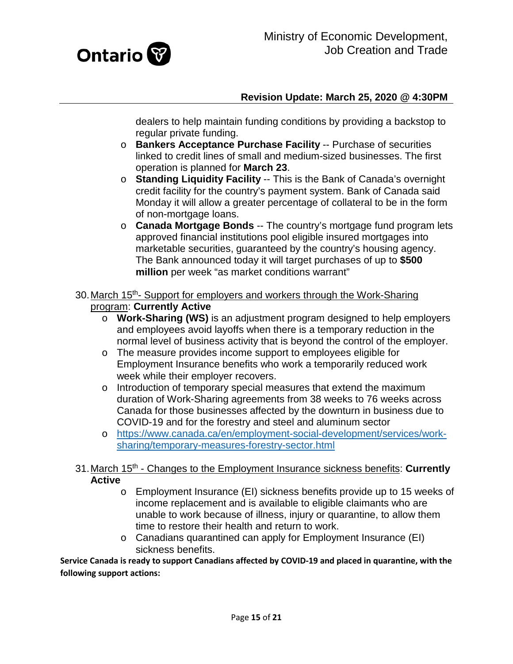

dealers to help maintain funding conditions by providing a backstop to regular private funding.

- o **Bankers Acceptance Purchase Facility** -- Purchase of securities linked to credit lines of small and medium-sized businesses. The first operation is planned for **March 23**.
- o **Standing Liquidity Facility** -- This is the Bank of Canada's overnight credit facility for the country's payment system. Bank of Canada said Monday it will allow a greater percentage of collateral to be in the form of non-mortgage loans.
- o **Canada Mortgage Bonds** -- The country's mortgage fund program lets approved financial institutions pool eligible insured mortgages into marketable securities, guaranteed by the country's housing agency. The Bank announced today it will target purchases of up to **\$500 million** per week "as market conditions warrant"
- <span id="page-14-0"></span>30. March 15<sup>th</sup>- Support for employers and workers through the Work-Sharing program: **Currently Active**
	- o **Work-Sharing (WS)** is an adjustment program designed to help employers and employees avoid layoffs when there is a temporary reduction in the normal level of business activity that is beyond the control of the employer.
	- o The measure provides income support to employees eligible for Employment Insurance benefits who work a temporarily reduced work week while their employer recovers.
	- o Introduction of temporary special measures that extend the maximum duration of Work-Sharing agreements from 38 weeks to 76 weeks across Canada for those businesses affected by the downturn in business due to COVID-19 and for the forestry and steel and aluminum sector
	- o [https://www.canada.ca/en/employment-social-development/services/work](https://www.canada.ca/en/employment-social-development/services/work-sharing/temporary-measures-forestry-sector.html)[sharing/temporary-measures-forestry-sector.html](https://www.canada.ca/en/employment-social-development/services/work-sharing/temporary-measures-forestry-sector.html)

#### <span id="page-14-1"></span>31.March 15th - Changes to the Employment Insurance sickness benefits: **Currently Active**

- o Employment Insurance (EI) sickness benefits provide up to 15 weeks of income replacement and is available to eligible claimants who are unable to work because of illness, injury or quarantine, to allow them time to restore their health and return to work.
- o Canadians quarantined can apply for Employment Insurance (EI) sickness benefits.

**Service Canada is ready to support Canadians affected by COVID-19 and placed in quarantine, with the following support actions:**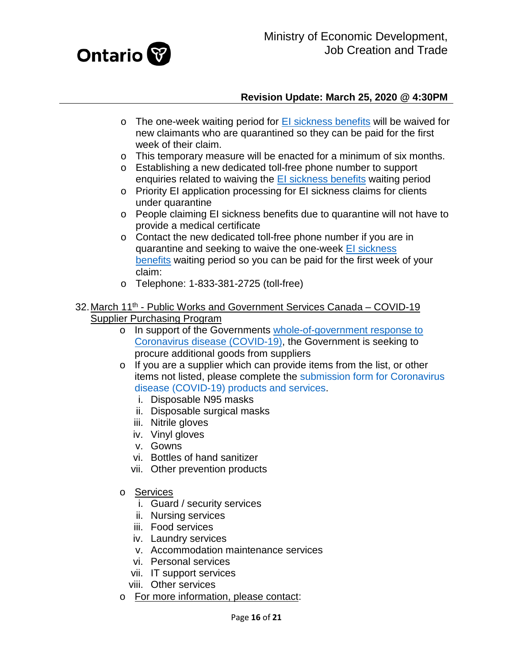

- $\circ$  The one-week waiting period for [EI sickness benefits](https://www.canada.ca/en/services/benefits/ei/ei-sickness.html) will be waived for new claimants who are quarantined so they can be paid for the first week of their claim.
- o This temporary measure will be enacted for a minimum of six months.
- o Establishing a new dedicated toll-free phone number to support enquiries related to waiving the [EI sickness benefits](https://www.canada.ca/en/services/benefits/ei/ei-sickness.html) waiting period
- o Priority EI application processing for EI sickness claims for clients under quarantine
- o People claiming EI sickness benefits due to quarantine will not have to provide a medical certificate
- o Contact the new dedicated toll-free phone number if you are in quarantine and seeking to waive the one-week El sickness [benefits](https://www.canada.ca/en/services/benefits/ei/ei-sickness.html) waiting period so you can be paid for the first week of your claim:
- o Telephone: 1-833-381-2725 (toll-free)
- <span id="page-15-0"></span>32. March 11<sup>th</sup> - Public Works and Government Services Canada – COVID-19 Supplier Purchasing Program
	- o In support of the Governments [whole-of-government response to](https://pm.gc.ca/en/news/news-releases/2020/03/11/prime-minister-outlines-canadas-covid-19-response)  [Coronavirus disease \(COVID-19\),](https://pm.gc.ca/en/news/news-releases/2020/03/11/prime-minister-outlines-canadas-covid-19-response) the Government is seeking to procure additional goods from suppliers
	- o If you are a supplier which can provide items from the list, or other items not listed, please complete the [submission form for Coronavirus](https://buyandsell.gc.ca/forms/help-canada-combat-covid-19-submission-form)  [disease \(COVID-19\) products and services.](https://buyandsell.gc.ca/forms/help-canada-combat-covid-19-submission-form)
		- i. Disposable N95 masks
		- ii. Disposable surgical masks
		- iii. Nitrile gloves
		- iv. Vinyl gloves
		- v. Gowns
		- vi. Bottles of hand sanitizer
		- vii. Other prevention products
	- o Services
		- i. Guard / security services
		- ii. Nursing services
		- iii. Food services
		- iv. Laundry services
		- v. Accommodation maintenance services
		- vi. Personal services
		- vii. IT support services
		- viii. Other services
	- o For more information, please contact: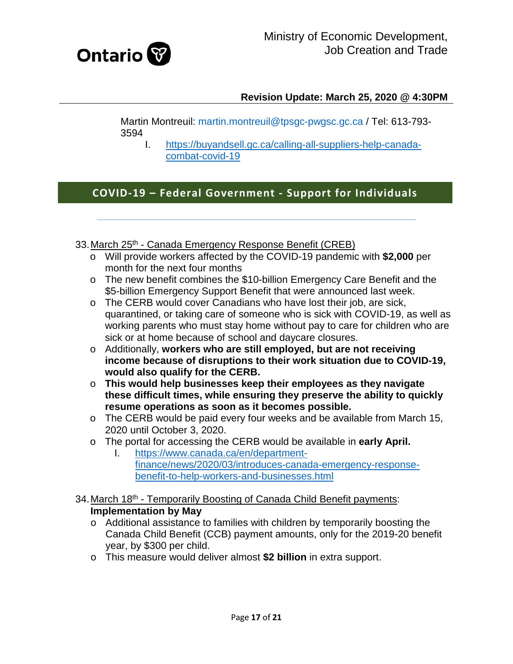

Martin Montreuil: [martin.montreuil@tpsgc-pwgsc.gc.ca](mailto:martin.montreuil@tpsgc-pwgsc.gc.ca) / Tel: 613-793- 3594

I. [https://buyandsell.gc.ca/calling-all-suppliers-help-canada](https://buyandsell.gc.ca/calling-all-suppliers-help-canada-combat-covid-19)[combat-covid-19](https://buyandsell.gc.ca/calling-all-suppliers-help-canada-combat-covid-19)

# **COVID-19 – Federal Government - Support for Individuals**

<span id="page-16-0"></span>33. March 25<sup>th</sup> - Canada Emergency Response Benefit (CREB)

- o Will provide workers affected by the COVID-19 pandemic with **\$2,000** per month for the next four months
- o The new benefit combines the \$10-billion Emergency Care Benefit and the \$5-billion Emergency Support Benefit that were announced last week.
- o The CERB would cover Canadians who have lost their job, are sick, quarantined, or taking care of someone who is sick with COVID-19, as well as working parents who must stay home without pay to care for children who are sick or at home because of school and daycare closures.
- o Additionally, **workers who are still employed, but are not receiving income because of disruptions to their work situation due to COVID-19, would also qualify for the CERB.**
- o **This would help businesses keep their employees as they navigate these difficult times, while ensuring they preserve the ability to quickly resume operations as soon as it becomes possible.**
- o The CERB would be paid every four weeks and be available from March 15, 2020 until October 3, 2020.
- o The portal for accessing the CERB would be available in **early April.**
	- [https://www.canada.ca/en/department](https://www.canada.ca/en/department-finance/news/2020/03/introduces-canada-emergency-response-benefit-to-help-workers-and-businesses.html)[finance/news/2020/03/introduces-canada-emergency-response](https://www.canada.ca/en/department-finance/news/2020/03/introduces-canada-emergency-response-benefit-to-help-workers-and-businesses.html)[benefit-to-help-workers-and-businesses.html](https://www.canada.ca/en/department-finance/news/2020/03/introduces-canada-emergency-response-benefit-to-help-workers-and-businesses.html)
- <span id="page-16-1"></span>34. March 18<sup>th</sup> - Temporarily Boosting of Canada Child Benefit payments: **Implementation by May**
	- o Additional assistance to families with children by temporarily boosting the Canada Child Benefit (CCB) payment amounts, only for the 2019-20 benefit year, by \$300 per child.
	- o This measure would deliver almost **\$2 billion** in extra support.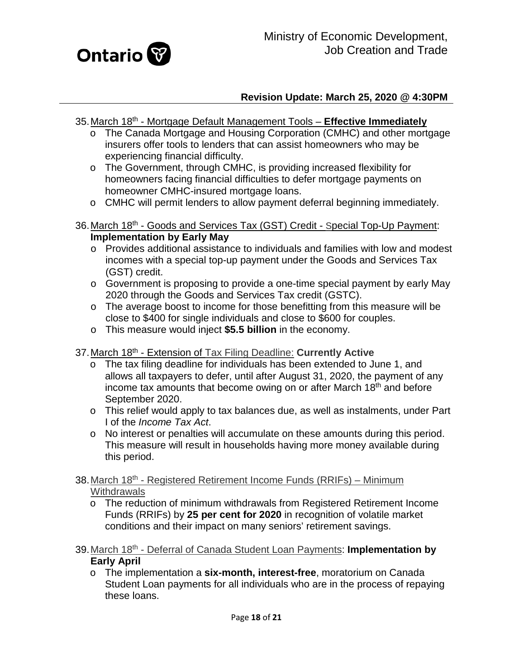

- <span id="page-17-0"></span>35.March 18th - Mortgage Default Management Tools – **Effective Immediately**
	- o The Canada Mortgage and Housing Corporation (CMHC) and other mortgage insurers offer tools to lenders that can assist homeowners who may be experiencing financial difficulty.
	- o The Government, through CMHC, is providing increased flexibility for homeowners facing financial difficulties to defer mortgage payments on homeowner CMHC-insured mortgage loans.
	- o CMHC will permit lenders to allow payment deferral beginning immediately.
- <span id="page-17-1"></span>36.March 18th - Goods and Services Tax (GST) Credit - Special Top-Up Payment: **Implementation by Early May**
	- o Provides additional assistance to individuals and families with low and modest incomes with a special top-up payment under the Goods and Services Tax (GST) credit.
	- o Government is proposing to provide a one-time special payment by early May 2020 through the Goods and Services Tax credit (GSTC).
	- o The average boost to income for those benefitting from this measure will be close to \$400 for single individuals and close to \$600 for couples.
	- o This measure would inject **\$5.5 billion** in the economy.
- <span id="page-17-2"></span>37.March 18th - Extension of Tax Filing Deadline: **Currently Active**
	- o The tax filing deadline for individuals has been extended to June 1, and allows all taxpayers to defer, until after August 31, 2020, the payment of any income tax amounts that become owing on or after March 18<sup>th</sup> and before September 2020.
	- o This relief would apply to tax balances due, as well as instalments, under Part I of the *Income Tax Act*.
	- o No interest or penalties will accumulate on these amounts during this period. This measure will result in households having more money available during this period.
- <span id="page-17-3"></span>38. March 18<sup>th</sup> - Registered Retirement Income Funds (RRIFs) – Minimum **Withdrawals** 
	- o The reduction of minimum withdrawals from Registered Retirement Income Funds (RRIFs) by **25 per cent for 2020** in recognition of volatile market conditions and their impact on many seniors' retirement savings.
- <span id="page-17-4"></span>39.March 18th - Deferral of Canada Student Loan Payments: **Implementation by Early April**
	- o The implementation a **six-month, interest-free**, moratorium on Canada Student Loan payments for all individuals who are in the process of repaying these loans.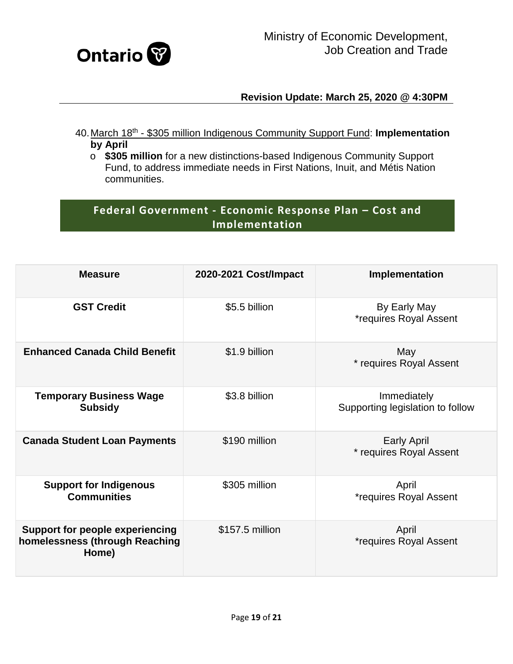

- <span id="page-18-0"></span>40.March 18th - \$305 million Indigenous Community Support Fund: **Implementation by April**
	- o **\$305 million** for a new distinctions-based Indigenous Community Support Fund, to address immediate needs in First Nations, Inuit, and Métis Nation communities.

# **Federal Government - Economic Response Plan – Cost and Implementation**

| <b>Measure</b>                                                                    | 2020-2021 Cost/Impact | Implementation                                  |
|-----------------------------------------------------------------------------------|-----------------------|-------------------------------------------------|
| <b>GST Credit</b>                                                                 | \$5.5 billion         | By Early May<br><i>*requires Royal Assent</i>   |
| <b>Enhanced Canada Child Benefit</b>                                              | \$1.9 billion         | May<br>* requires Royal Assent                  |
| <b>Temporary Business Wage</b><br><b>Subsidy</b>                                  | \$3.8 billion         | Immediately<br>Supporting legislation to follow |
| <b>Canada Student Loan Payments</b>                                               | \$190 million         | <b>Early April</b><br>* requires Royal Assent   |
| <b>Support for Indigenous</b><br><b>Communities</b>                               | \$305 million         | April<br><i>*requires Royal Assent</i>          |
| <b>Support for people experiencing</b><br>homelessness (through Reaching<br>Home) | \$157.5 million       | April<br><i>*requires Royal Assent</i>          |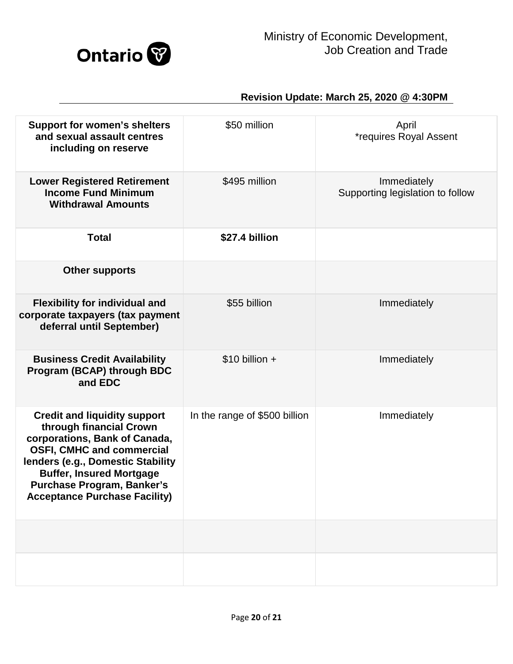

| <b>Support for women's shelters</b><br>and sexual assault centres<br>including on reserve                                                                                                                                                                                                | \$50 million                  | April<br><i>*requires Royal Assent</i>          |
|------------------------------------------------------------------------------------------------------------------------------------------------------------------------------------------------------------------------------------------------------------------------------------------|-------------------------------|-------------------------------------------------|
| <b>Lower Registered Retirement</b><br><b>Income Fund Minimum</b><br><b>Withdrawal Amounts</b>                                                                                                                                                                                            | \$495 million                 | Immediately<br>Supporting legislation to follow |
| <b>Total</b>                                                                                                                                                                                                                                                                             | \$27.4 billion                |                                                 |
| <b>Other supports</b>                                                                                                                                                                                                                                                                    |                               |                                                 |
| <b>Flexibility for individual and</b><br>corporate taxpayers (tax payment<br>deferral until September)                                                                                                                                                                                   | \$55 billion                  | Immediately                                     |
| <b>Business Credit Availability</b><br>Program (BCAP) through BDC<br>and EDC                                                                                                                                                                                                             | $$10$ billion +               | Immediately                                     |
| <b>Credit and liquidity support</b><br>through financial Crown<br>corporations, Bank of Canada,<br><b>OSFI, CMHC and commercial</b><br>lenders (e.g., Domestic Stability<br><b>Buffer, Insured Mortgage</b><br><b>Purchase Program, Banker's</b><br><b>Acceptance Purchase Facility)</b> | In the range of \$500 billion | Immediately                                     |
|                                                                                                                                                                                                                                                                                          |                               |                                                 |
|                                                                                                                                                                                                                                                                                          |                               |                                                 |